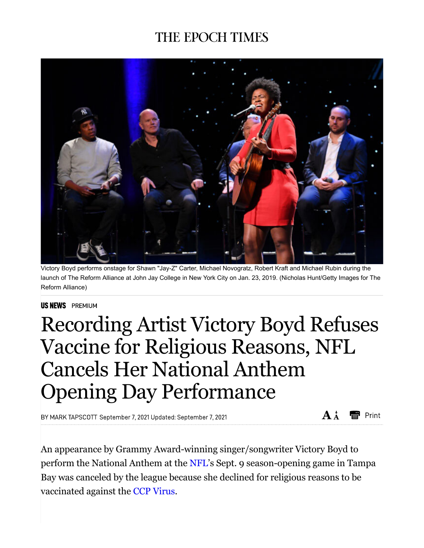## **THE EPOCH TIMES**



Victory Boyd performs onstage for Shawn "Jay-Z" Carter, Michael Novogratz, Robert Kraft and Michael Rubin during the launch of The Reform Alliance at John Jay College in New York City on Jan. 23, 2019. (Nicholas Hunt/Getty Images for The Reform Alliance)

## **US NEWS** PREMIUM

## Recording Artist Victory Boyd Refuses Vaccine for Religious Reasons, NFL Cancels Her National Anthem Opening Day Performance

BY MARK TAPSCOTT September 7, 2021 Updated: September 7, 2021

 $A^{\dagger}$ ei Print

An appearance by Grammy Award-winning singer/songwriter Victory Boyd to perform the National Anthem at the NFL's Sept. 9 season-opening game in Tampa Bay was canceled by the league because she declined for religious reasons to be vaccinated against the CCP Virus.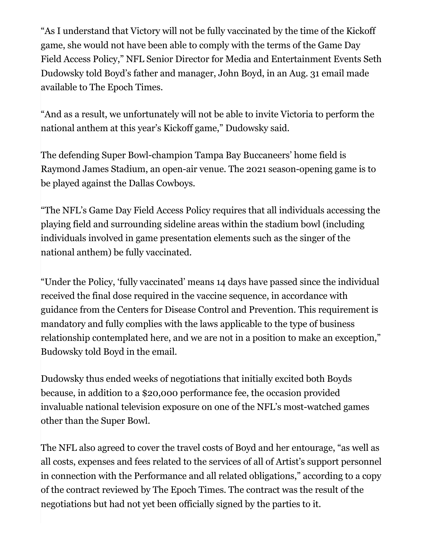"As I understand that Victory will not be fully vaccinated by the time of the Kickoff game, she would not have been able to comply with the terms of the Game Day Field Access Policy," NFL Senior Director for Media and Entertainment Events Seth Dudowsky told Boyd's father and manager, John Boyd, in an Aug. 31 email made available to The Epoch Times.

"And as a result, we unfortunately will not be able to invite Victoria to perform the national anthem at this year's Kickoff game," Dudowsky said.

The defending Super Bowl-champion Tampa Bay Buccaneers' home field is Raymond James Stadium, an open-air venue. The 2021 season-opening game is to be played against the Dallas Cowboys.

"The NFL's Game Day Field Access Policy requires that all individuals accessing the playing field and surrounding sideline areas within the stadium bowl (including individuals involved in game presentation elements such as the singer of the national anthem) be fully vaccinated.

"Under the Policy, 'fully vaccinated' means 14 days have passed since the individual received the final dose required in the vaccine sequence, in accordance with guidance from the Centers for Disease Control and Prevention. This requirement is mandatory and fully complies with the laws applicable to the type of business relationship contemplated here, and we are not in a position to make an exception," Budowsky told Boyd in the email.

Dudowsky thus ended weeks of negotiations that initially excited both Boyds because, in addition to a \$20,000 performance fee, the occasion provided invaluable national television exposure on one of the NFL's most-watched games other than the Super Bowl.

The NFL also agreed to cover the travel costs of Boyd and her entourage, "as well as all costs, expenses and fees related to the services of all of Artist's support personnel in connection with the Performance and all related obligations," according to a copy of the contract reviewed by The Epoch Times. The contract was the result of the negotiations but had not yet been officially signed by the parties to it.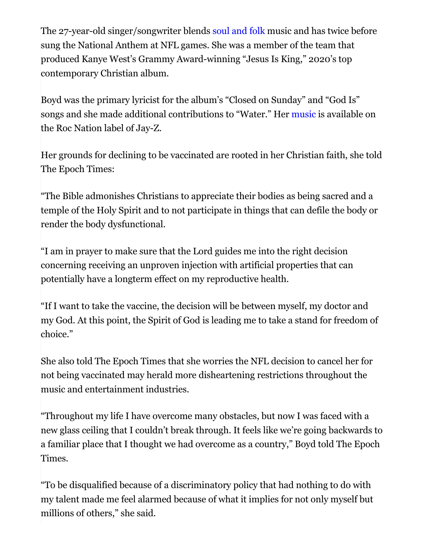The 27-year-old singer/songwriter blends soul and folk music and has twice before sung the National Anthem at NFL games. She was a member of the team that produced Kanye West's Grammy Award-winning "Jesus Is King," 2020's top contemporary Christian album.

Boyd was the primary lyricist for the album's "Closed on Sunday" and "God Is" songs and she made additional contributions to "Water." Her music is available on the Roc Nation label of Jay-Z.

Her grounds for declining to be vaccinated are rooted in her Christian faith, she told The Epoch Times:

"The Bible admonishes Christians to appreciate their bodies as being sacred and a temple of the Holy Spirit and to not participate in things that can defile the body or render the body dysfunctional.

"I am in prayer to make sure that the Lord guides me into the right decision concerning receiving an unproven injection with artificial properties that can potentially have a longterm effect on my reproductive health.

"If I want to take the vaccine, the decision will be between myself, my doctor and my God. At this point, the Spirit of God is leading me to take a stand for freedom of choice."

She also told The Epoch Times that she worries the NFL decision to cancel her for not being vaccinated may herald more disheartening restrictions throughout the music and entertainment industries.

"Throughout my life I have overcome many obstacles, but now I was faced with a new glass ceiling that I couldn't break through. It feels like we're going backwards to a familiar place that I thought we had overcome as a country," Boyd told The Epoch Times.

"To be disqualified because of a discriminatory policy that had nothing to do with my talent made me feel alarmed because of what it implies for not only myself but millions of others," she said.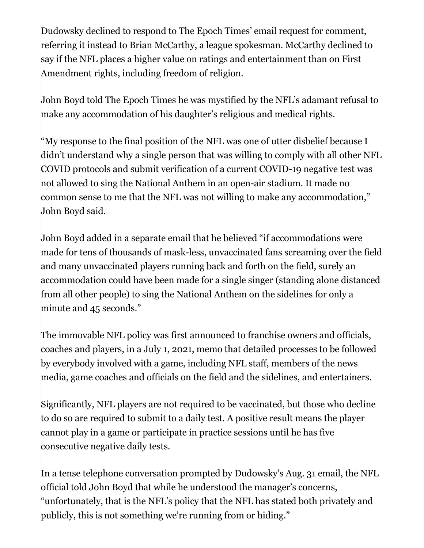Dudowsky declined to respond to The Epoch Times' email request for comment, referring it instead to Brian McCarthy, a league spokesman. McCarthy declined to say if the NFL places a higher value on ratings and entertainment than on First Amendment rights, including freedom of religion.

John Boyd told The Epoch Times he was mystified by the NFL's adamant refusal to make any accommodation of his daughter's religious and medical rights.

"My response to the final position of the NFL was one of utter disbelief because I didn't understand why a single person that was willing to comply with all other NFL COVID protocols and submit verification of a current COVID-19 negative test was not allowed to sing the National Anthem in an open-air stadium. It made no common sense to me that the NFL was not willing to make any accommodation," John Boyd said.

John Boyd added in a separate email that he believed "if accommodations were made for tens of thousands of mask-less, unvaccinated fans screaming over the field and many unvaccinated players running back and forth on the field, surely an accommodation could have been made for a single singer (standing alone distanced from all other people) to sing the National Anthem on the sidelines for only a minute and 45 seconds."

The immovable NFL policy was first announced to franchise owners and officials, coaches and players, in a July 1, 2021, memo that detailed processes to be followed by everybody involved with a game, including NFL staff, members of the news media, game coaches and officials on the field and the sidelines, and entertainers.

Significantly, NFL players are not required to be vaccinated, but those who decline to do so are required to submit to a daily test. A positive result means the player cannot play in a game or participate in practice sessions until he has five consecutive negative daily tests.

In a tense telephone conversation prompted by Dudowsky's Aug. 31 email, the NFL official told John Boyd that while he understood the manager's concerns, "unfortunately, that is the NFL's policy that the NFL has stated both privately and publicly, this is not something we're running from or hiding."